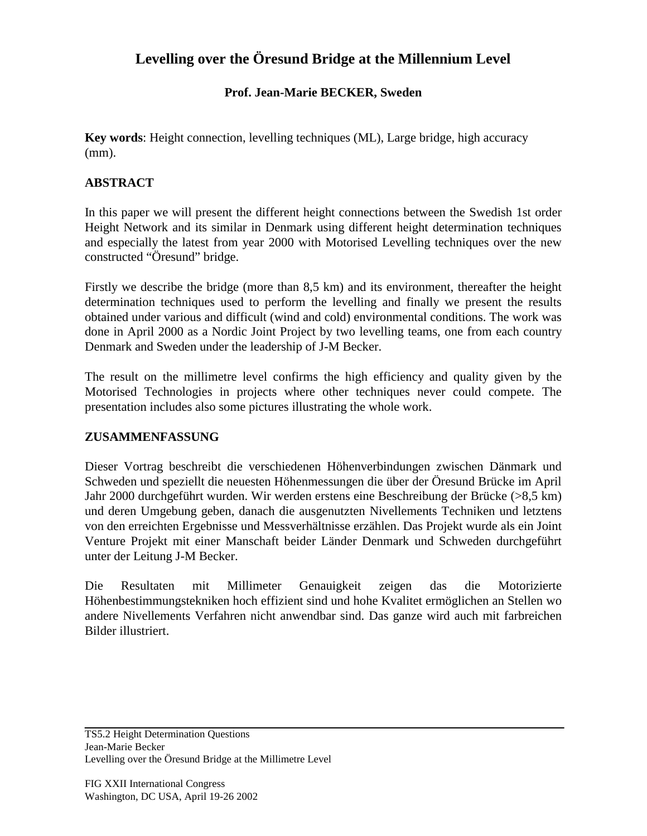# **Levelling over the Öresund Bridge at the Millennium Level**

### **Prof. Jean-Marie BECKER, Sweden**

**Key words**: Height connection, levelling techniques (ML), Large bridge, high accuracy (mm).

### **ABSTRACT**

In this paper we will present the different height connections between the Swedish 1st order Height Network and its similar in Denmark using different height determination techniques and especially the latest from year 2000 with Motorised Levelling techniques over the new constructed "Öresund" bridge.

Firstly we describe the bridge (more than 8,5 km) and its environment, thereafter the height determination techniques used to perform the levelling and finally we present the results obtained under various and difficult (wind and cold) environmental conditions. The work was done in April 2000 as a Nordic Joint Project by two levelling teams, one from each country Denmark and Sweden under the leadership of J-M Becker.

The result on the millimetre level confirms the high efficiency and quality given by the Motorised Technologies in projects where other techniques never could compete. The presentation includes also some pictures illustrating the whole work.

#### **ZUSAMMENFASSUNG**

Dieser Vortrag beschreibt die verschiedenen Höhenverbindungen zwischen Dänmark und Schweden und speziellt die neuesten Höhenmessungen die über der Öresund Brücke im April Jahr 2000 durchgeführt wurden. Wir werden erstens eine Beschreibung der Brücke (>8,5 km) und deren Umgebung geben, danach die ausgenutzten Nivellements Techniken und letztens von den erreichten Ergebnisse und Messverhältnisse erzählen. Das Projekt wurde als ein Joint Venture Projekt mit einer Manschaft beider Länder Denmark und Schweden durchgeführt unter der Leitung J-M Becker.

Die Resultaten mit Millimeter Genauigkeit zeigen das die Motorizierte Höhenbestimmungstekniken hoch effizient sind und hohe Kvalitet ermöglichen an Stellen wo andere Nivellements Verfahren nicht anwendbar sind. Das ganze wird auch mit farbreichen Bilder illustriert.